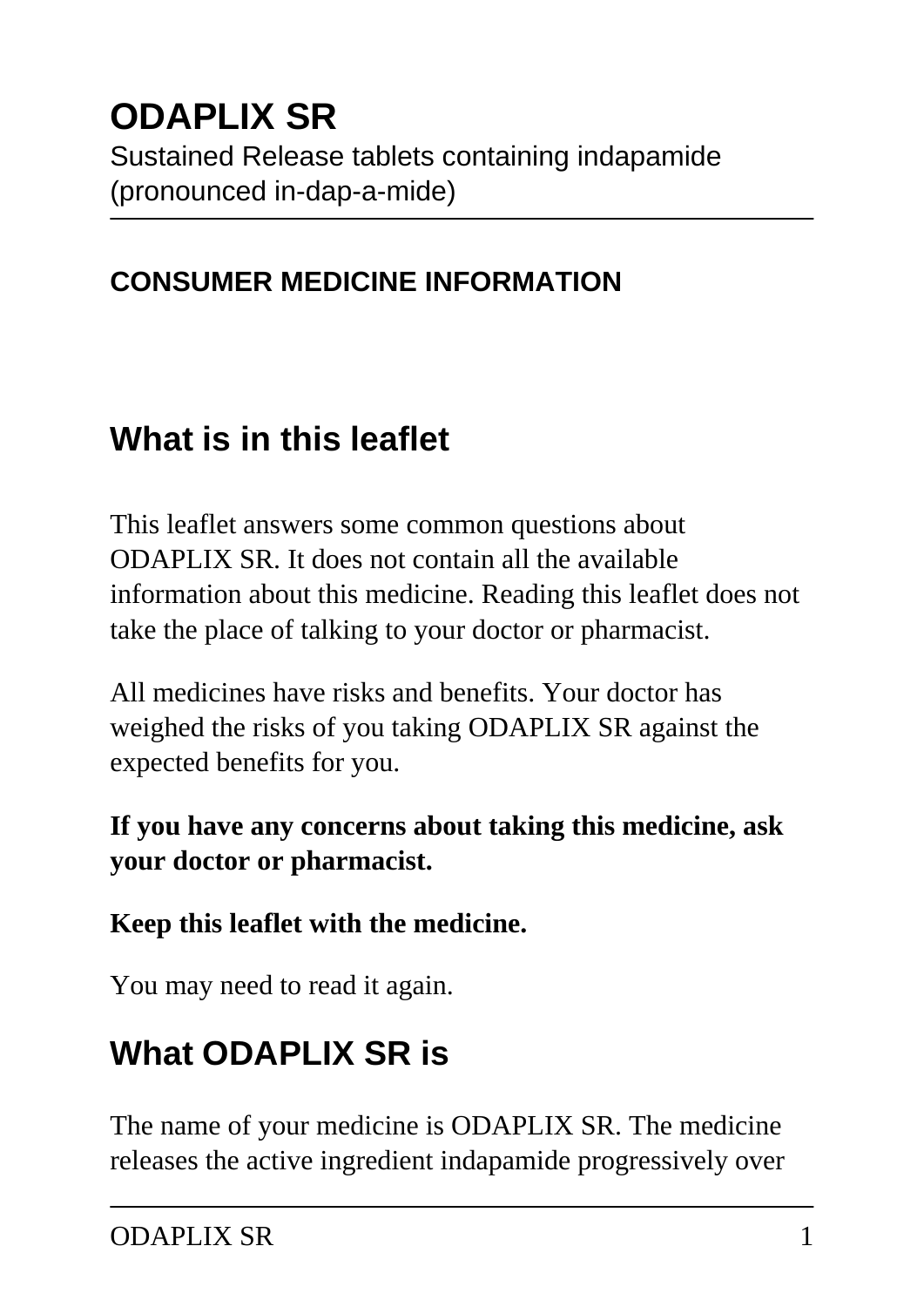# **ODAPLIX SR**

Sustained Release tablets containing indapamide (pronounced in-dap-a-mide)

#### **CONSUMER MEDICINE INFORMATION**

## **What is in this leaflet**

This leaflet answers some common questions about ODAPLIX SR. It does not contain all the available information about this medicine. Reading this leaflet does not take the place of talking to your doctor or pharmacist.

All medicines have risks and benefits. Your doctor has weighed the risks of you taking ODAPLIX SR against the expected benefits for you.

#### **If you have any concerns about taking this medicine, ask your doctor or pharmacist.**

#### **Keep this leaflet with the medicine.**

You may need to read it again.

# **What ODAPLIX SR is**

The name of your medicine is ODAPLIX SR. The medicine releases the active ingredient indapamide progressively over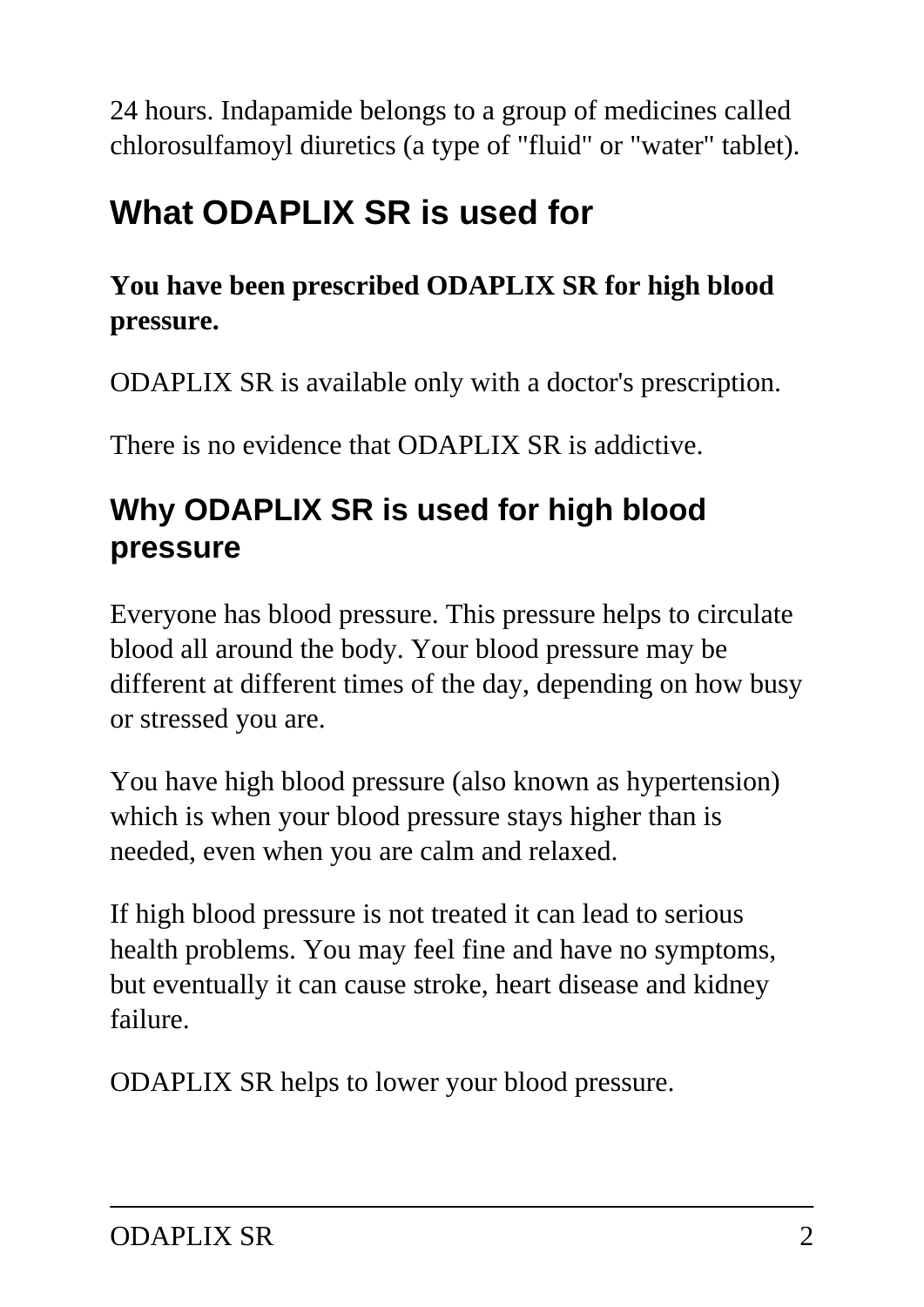24 hours. Indapamide belongs to a group of medicines called chlorosulfamoyl diuretics (a type of "fluid" or "water" tablet).

# **What ODAPLIX SR is used for**

#### **You have been prescribed ODAPLIX SR for high blood pressure.**

ODAPLIX SR is available only with a doctor's prescription.

There is no evidence that ODAPLIX SR is addictive.

## **Why ODAPLIX SR is used for high blood pressure**

Everyone has blood pressure. This pressure helps to circulate blood all around the body. Your blood pressure may be different at different times of the day, depending on how busy or stressed you are.

You have high blood pressure (also known as hypertension) which is when your blood pressure stays higher than is needed, even when you are calm and relaxed.

If high blood pressure is not treated it can lead to serious health problems. You may feel fine and have no symptoms, but eventually it can cause stroke, heart disease and kidney failure.

ODAPLIX SR helps to lower your blood pressure.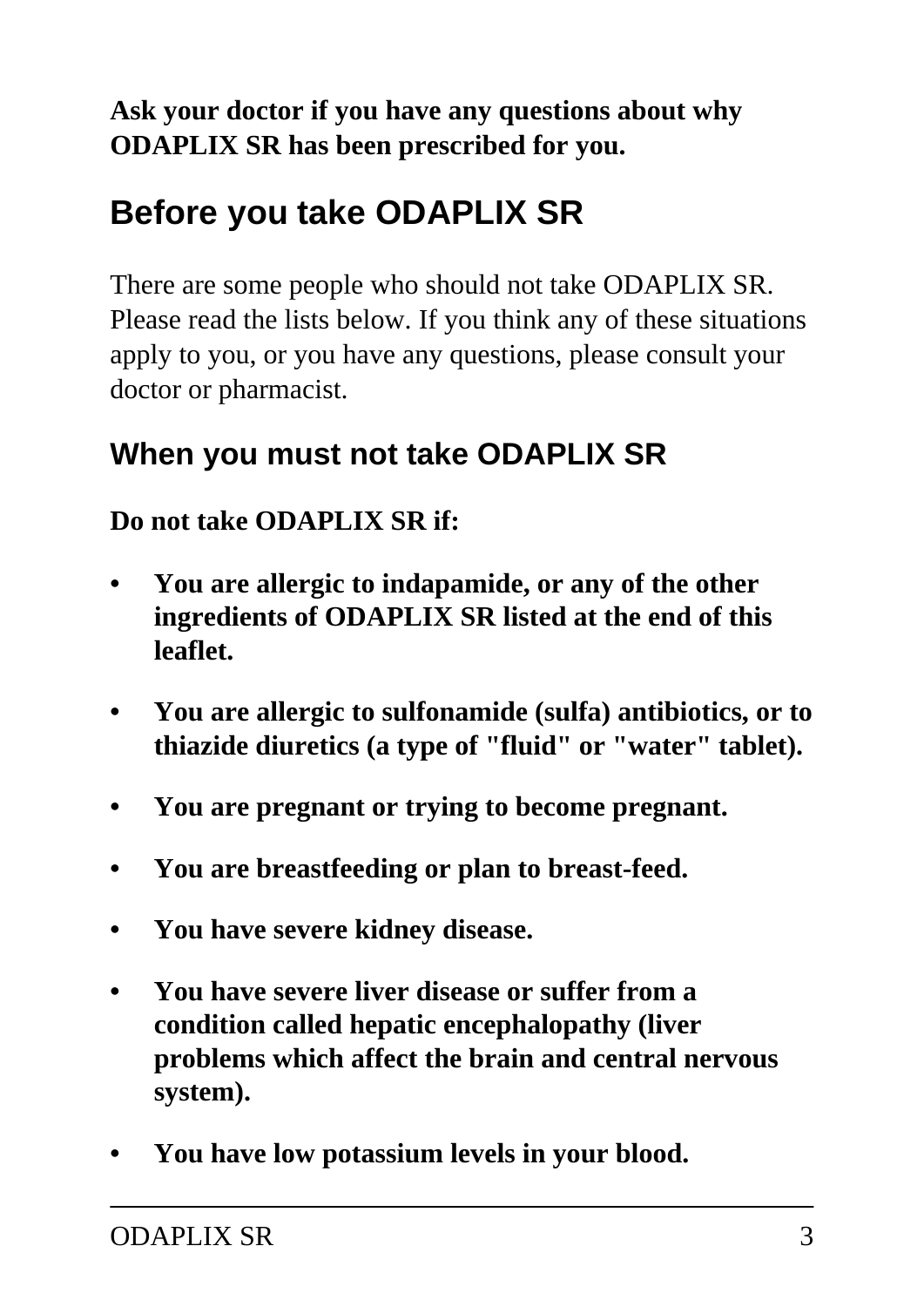#### **Ask your doctor if you have any questions about why ODAPLIX SR has been prescribed for you.**

# **Before you take ODAPLIX SR**

There are some people who should not take ODAPLIX SR. Please read the lists below. If you think any of these situations apply to you, or you have any questions, please consult your doctor or pharmacist.

### **When you must not take ODAPLIX SR**

#### **Do not take ODAPLIX SR if:**

- **You are allergic to indapamide, or any of the other ingredients of ODAPLIX SR listed at the end of this leaflet.**
- **You are allergic to sulfonamide (sulfa) antibiotics, or to thiazide diuretics (a type of "fluid" or "water" tablet).**
- **You are pregnant or trying to become pregnant.**
- **You are breastfeeding or plan to breast-feed.**
- **You have severe kidney disease.**
- **You have severe liver disease or suffer from a condition called hepatic encephalopathy (liver problems which affect the brain and central nervous system).**
- **You have low potassium levels in your blood.**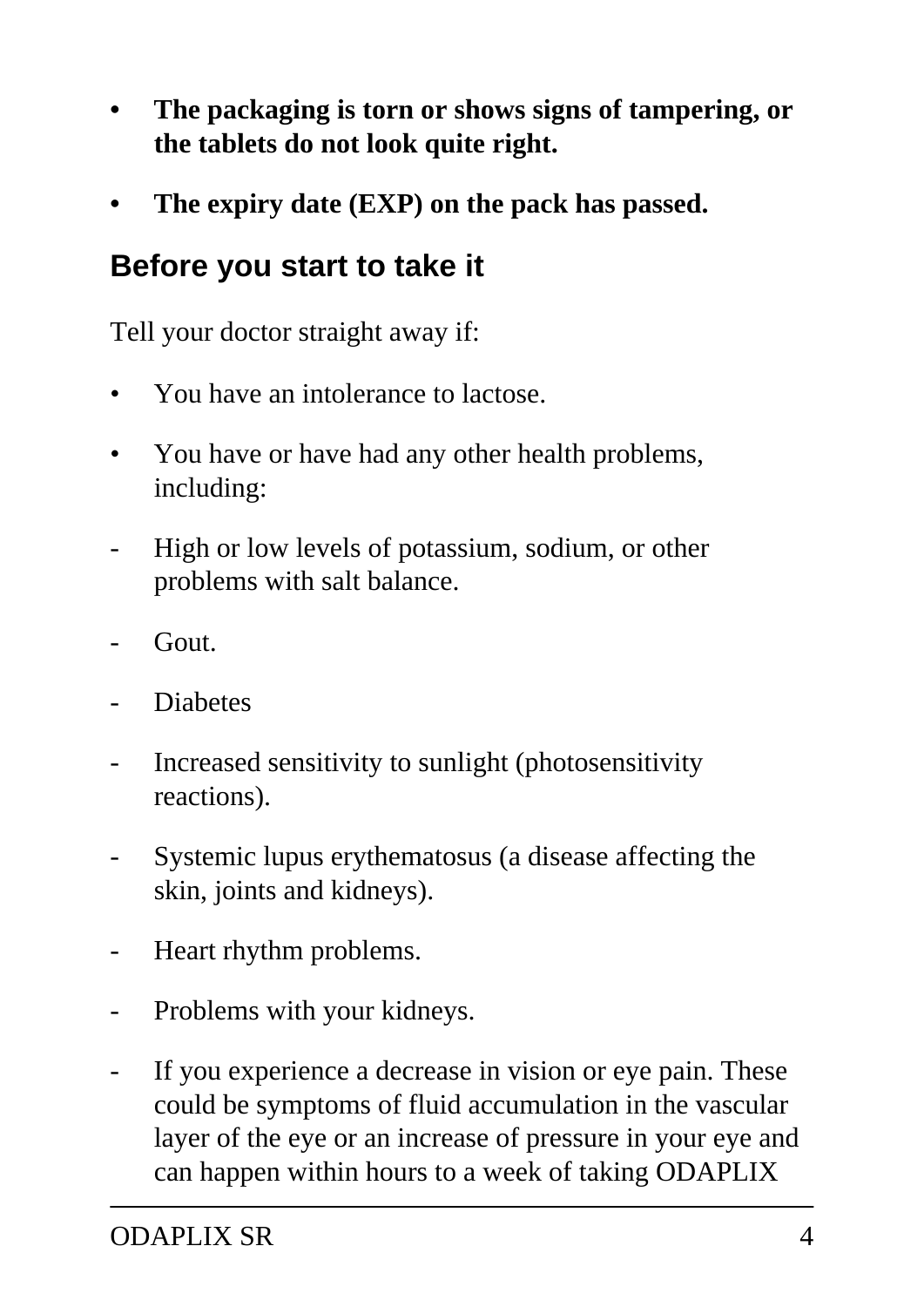- **The packaging is torn or shows signs of tampering, or the tablets do not look quite right.**
- **The expiry date (EXP) on the pack has passed.**

### **Before you start to take it**

Tell your doctor straight away if:

- You have an intolerance to lactose.
- You have or have had any other health problems, including:
- High or low levels of potassium, sodium, or other problems with salt balance.
- Gout.
- **Diabetes**
- Increased sensitivity to sunlight (photosensitivity reactions).
- Systemic lupus erythematosus (a disease affecting the skin, joints and kidneys).
- Heart rhythm problems.
- Problems with your kidneys.
- If you experience a decrease in vision or eye pain. These could be symptoms of fluid accumulation in the vascular layer of the eye or an increase of pressure in your eye and can happen within hours to a week of taking ODAPLIX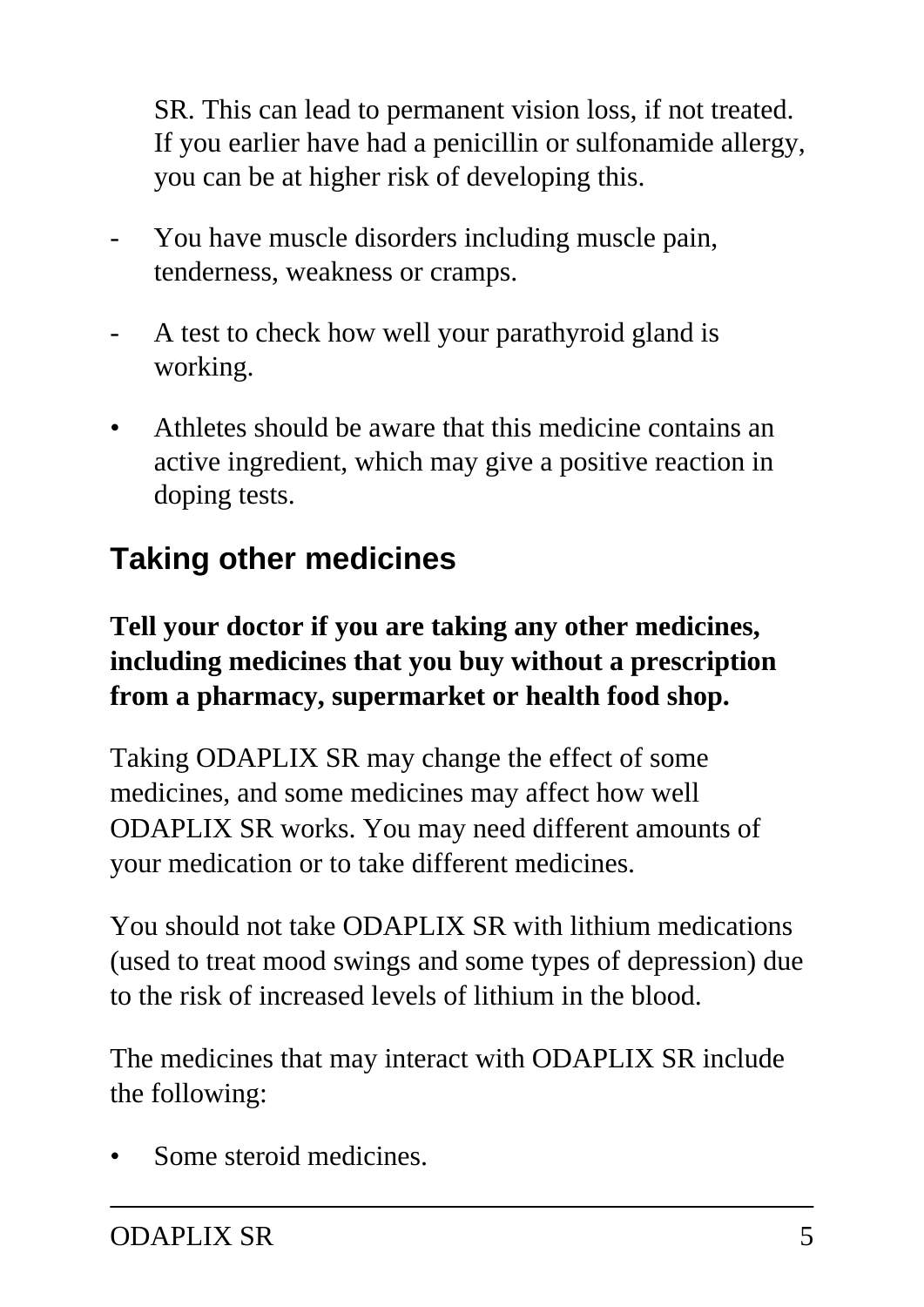SR. This can lead to permanent vision loss, if not treated. If you earlier have had a penicillin or sulfonamide allergy, you can be at higher risk of developing this.

- You have muscle disorders including muscle pain, tenderness, weakness or cramps.
- A test to check how well your parathyroid gland is working.
- Athletes should be aware that this medicine contains an active ingredient, which may give a positive reaction in doping tests.

## **Taking other medicines**

#### **Tell your doctor if you are taking any other medicines, including medicines that you buy without a prescription from a pharmacy, supermarket or health food shop.**

Taking ODAPLIX SR may change the effect of some medicines, and some medicines may affect how well ODAPLIX SR works. You may need different amounts of your medication or to take different medicines.

You should not take ODAPLIX SR with lithium medications (used to treat mood swings and some types of depression) due to the risk of increased levels of lithium in the blood.

The medicines that may interact with ODAPLIX SR include the following:

Some steroid medicines.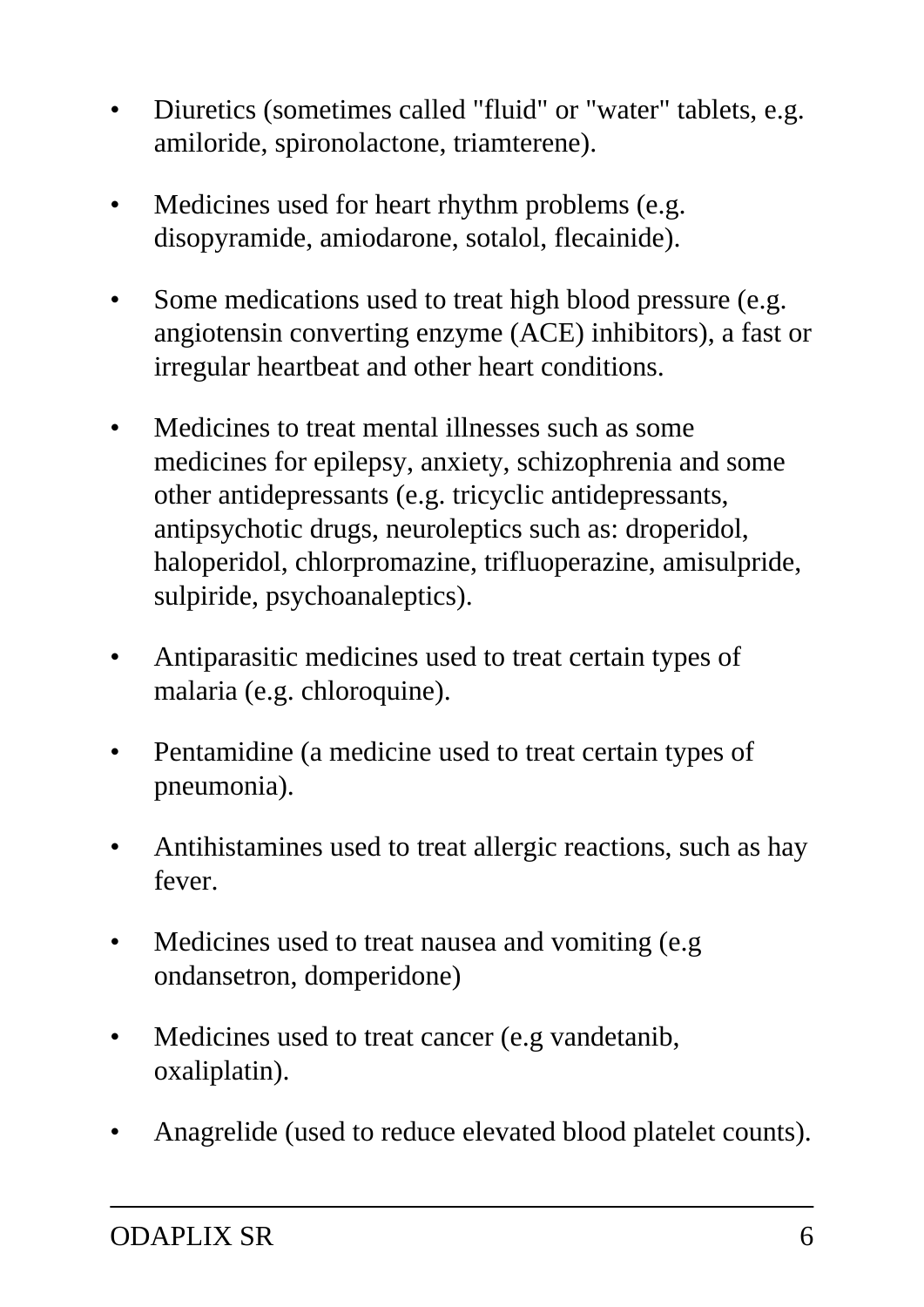- Diuretics (sometimes called "fluid" or "water" tablets, e.g. amiloride, spironolactone, triamterene).
- Medicines used for heart rhythm problems (e.g. disopyramide, amiodarone, sotalol, flecainide).
- Some medications used to treat high blood pressure (e.g. angiotensin converting enzyme (ACE) inhibitors), a fast or irregular heartbeat and other heart conditions.
- Medicines to treat mental illnesses such as some medicines for epilepsy, anxiety, schizophrenia and some other antidepressants (e.g. tricyclic antidepressants, antipsychotic drugs, neuroleptics such as: droperidol, haloperidol, chlorpromazine, trifluoperazine, amisulpride, sulpiride, psychoanaleptics).
- Antiparasitic medicines used to treat certain types of malaria (e.g. chloroquine).
- Pentamidine (a medicine used to treat certain types of pneumonia).
- Antihistamines used to treat allergic reactions, such as hay fever.
- Medicines used to treat nausea and vomiting (e.g. ondansetron, domperidone)
- Medicines used to treat cancer (e.g vandetanib, oxaliplatin).
- Anagrelide (used to reduce elevated blood platelet counts).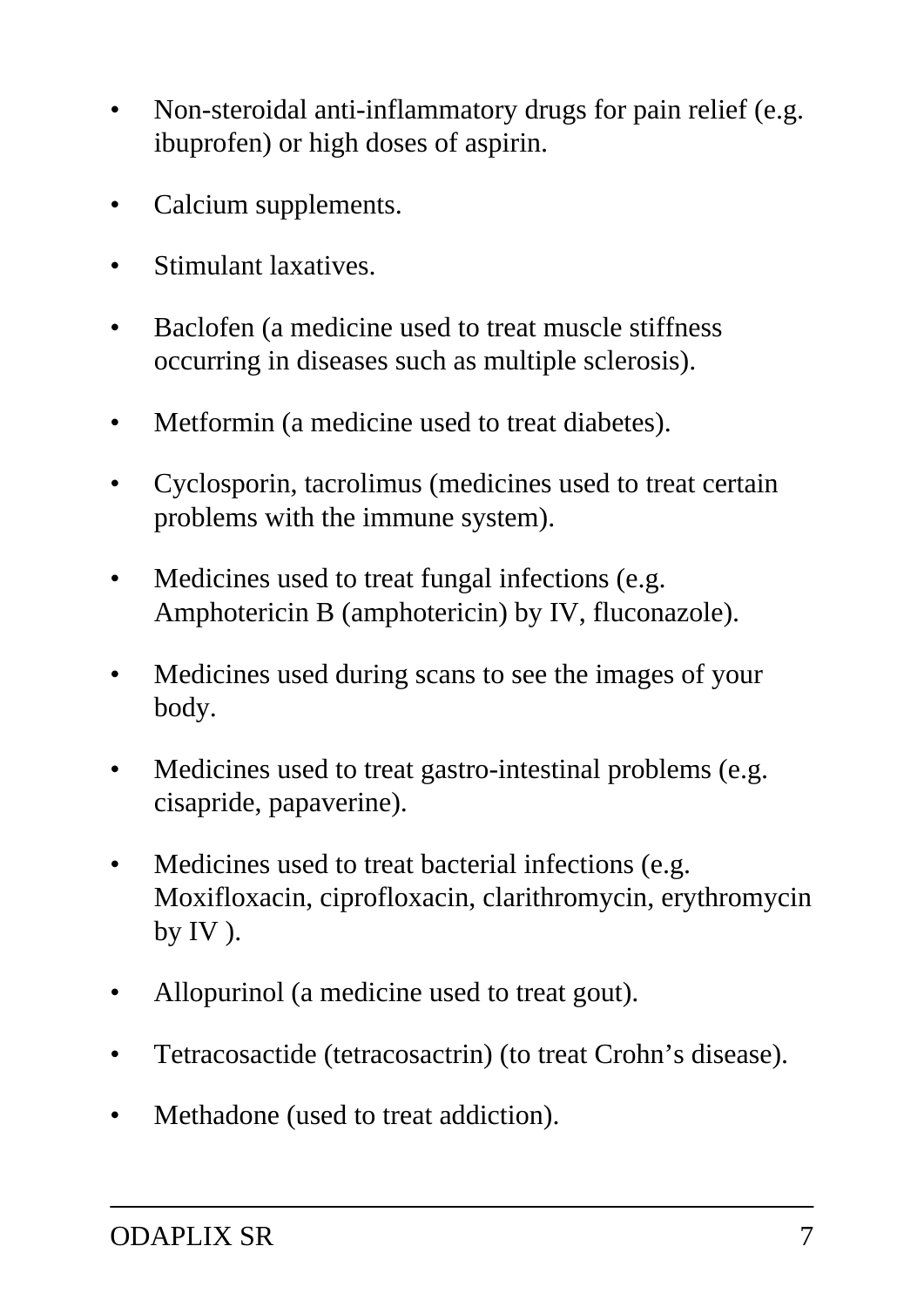- Non-steroidal anti-inflammatory drugs for pain relief (e.g. ibuprofen) or high doses of aspirin.
- Calcium supplements.
- Stimulant laxatives.
- Baclofen (a medicine used to treat muscle stiffness occurring in diseases such as multiple sclerosis).
- Metformin (a medicine used to treat diabetes).
- Cyclosporin, tacrolimus (medicines used to treat certain problems with the immune system).
- Medicines used to treat fungal infections (e.g. Amphotericin B (amphotericin) by IV, fluconazole).
- Medicines used during scans to see the images of your body.
- Medicines used to treat gastro-intestinal problems (e.g. cisapride, papaverine).
- Medicines used to treat bacterial infections (e.g. Moxifloxacin, ciprofloxacin, clarithromycin, erythromycin by IV ).
- Allopurinol (a medicine used to treat gout).
- Tetracosactide (tetracosactrin) (to treat Crohn's disease).
- Methadone (used to treat addiction).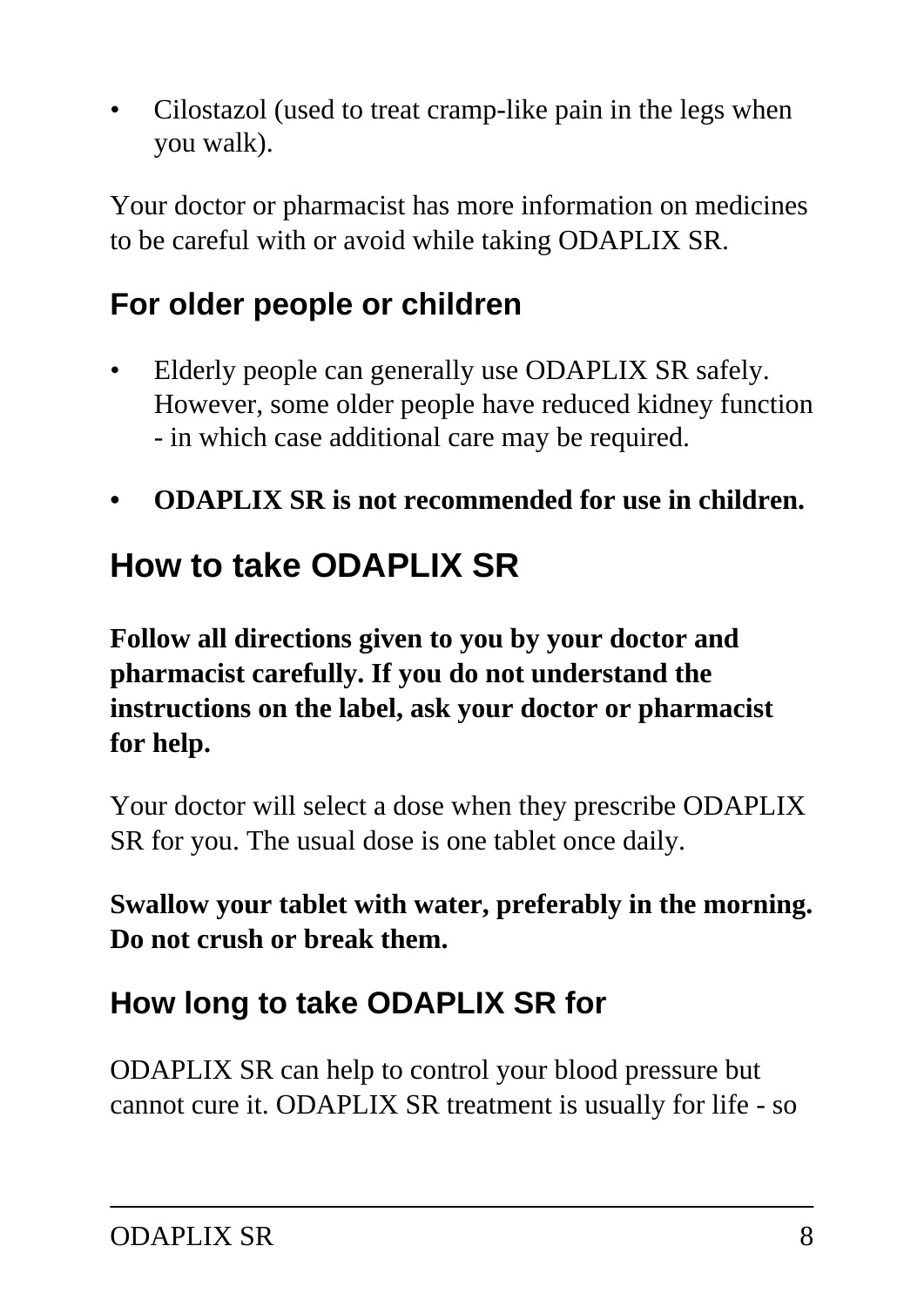• Cilostazol (used to treat cramp-like pain in the legs when you walk).

Your doctor or pharmacist has more information on medicines to be careful with or avoid while taking ODAPLIX SR.

## **For older people or children**

- Elderly people can generally use ODAPLIX SR safely. However, some older people have reduced kidney function - in which case additional care may be required.
- **ODAPLIX SR is not recommended for use in children.**

# **How to take ODAPLIX SR**

**Follow all directions given to you by your doctor and pharmacist carefully. If you do not understand the instructions on the label, ask your doctor or pharmacist for help.**

Your doctor will select a dose when they prescribe ODAPLIX SR for you. The usual dose is one tablet once daily.

**Swallow your tablet with water, preferably in the morning. Do not crush or break them.**

## **How long to take ODAPLIX SR for**

ODAPLIX SR can help to control your blood pressure but cannot cure it. ODAPLIX SR treatment is usually for life - so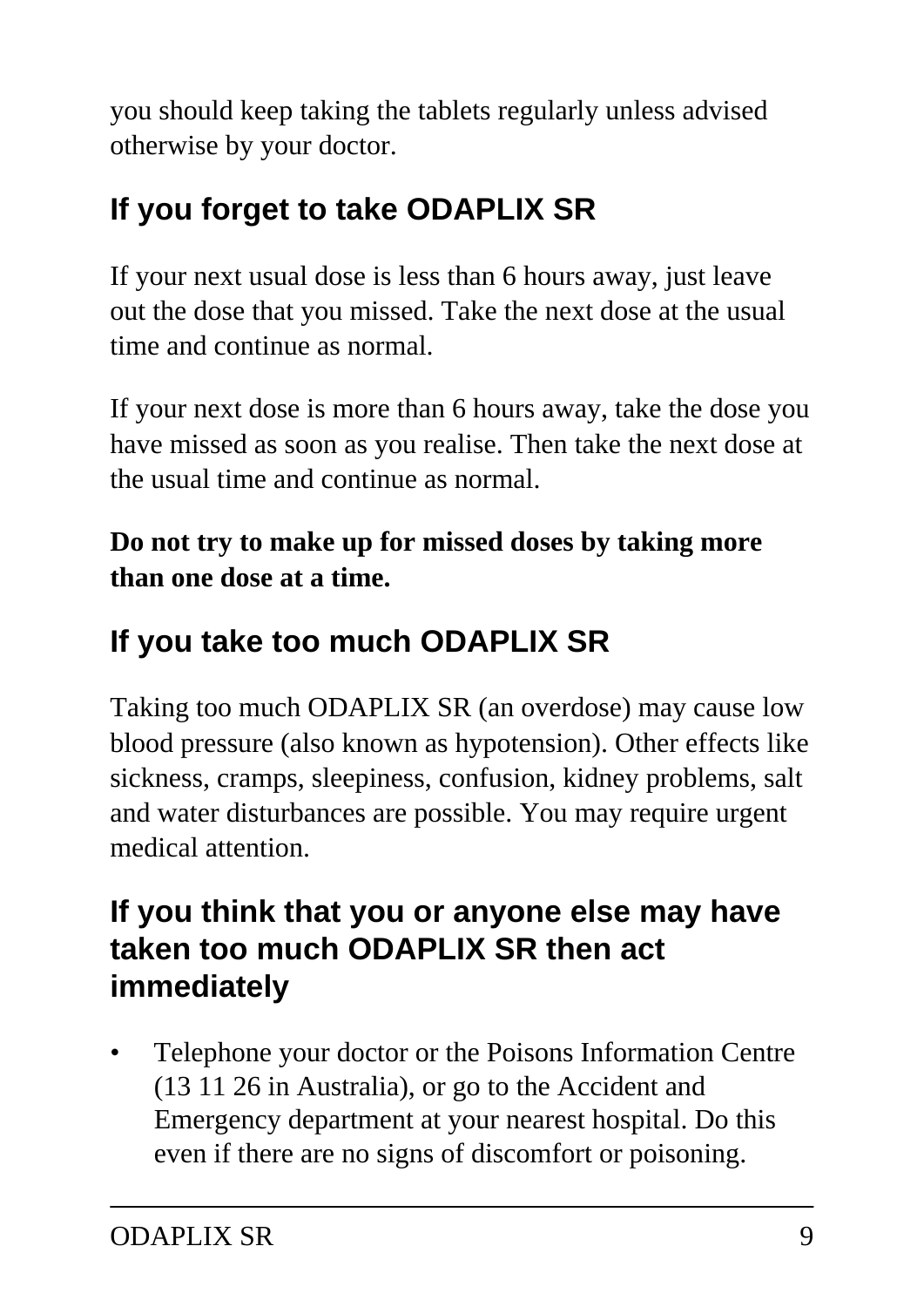you should keep taking the tablets regularly unless advised otherwise by your doctor.

## **If you forget to take ODAPLIX SR**

If your next usual dose is less than 6 hours away, just leave out the dose that you missed. Take the next dose at the usual time and continue as normal.

If your next dose is more than 6 hours away, take the dose you have missed as soon as you realise. Then take the next dose at the usual time and continue as normal.

**Do not try to make up for missed doses by taking more than one dose at a time.**

## **If you take too much ODAPLIX SR**

Taking too much ODAPLIX SR (an overdose) may cause low blood pressure (also known as hypotension). Other effects like sickness, cramps, sleepiness, confusion, kidney problems, salt and water disturbances are possible. You may require urgent medical attention.

### **If you think that you or anyone else may have taken too much ODAPLIX SR then act immediately**

• Telephone your doctor or the Poisons Information Centre (13 11 26 in Australia), or go to the Accident and Emergency department at your nearest hospital. Do this even if there are no signs of discomfort or poisoning.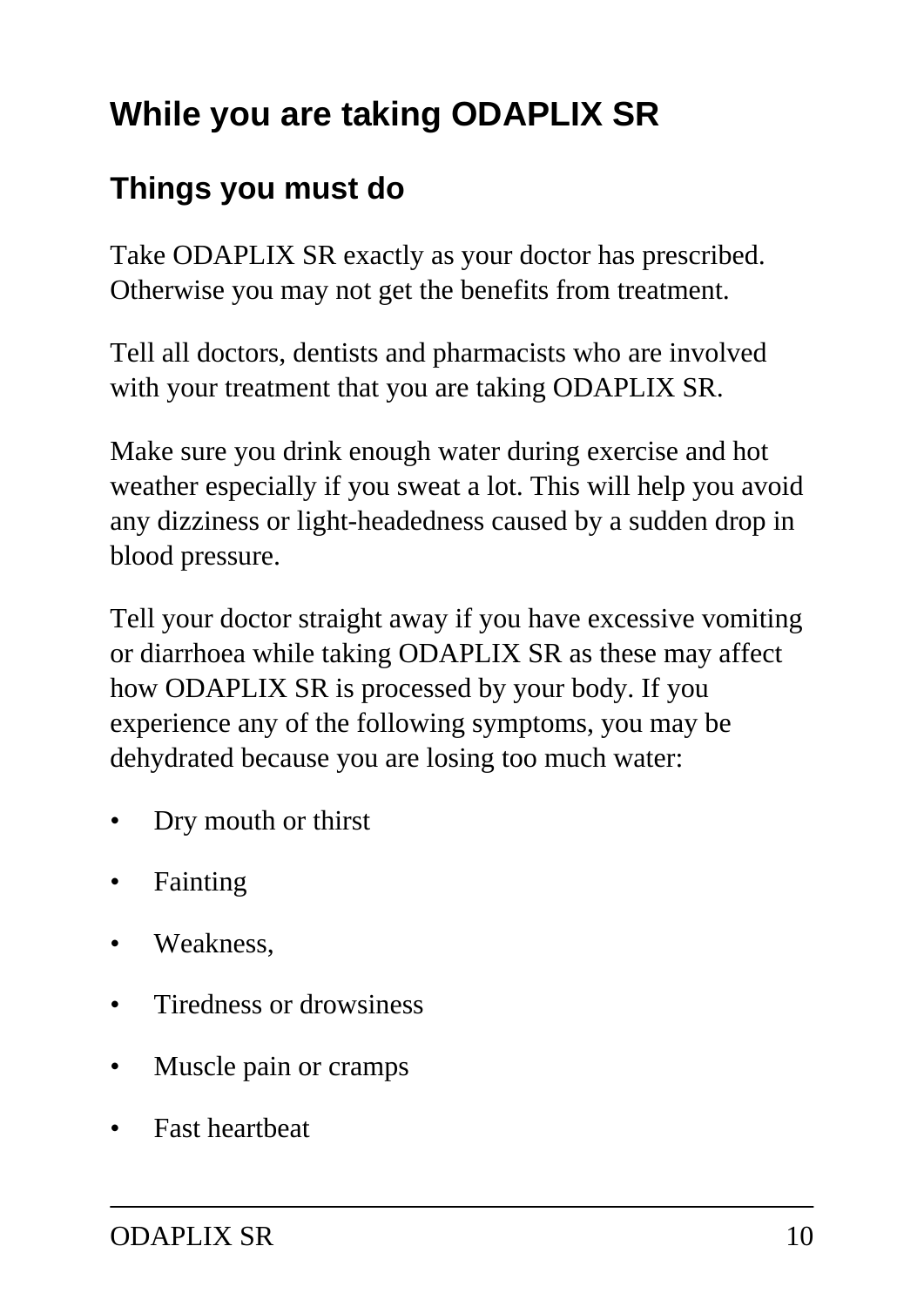# **While you are taking ODAPLIX SR**

### **Things you must do**

Take ODAPLIX SR exactly as your doctor has prescribed. Otherwise you may not get the benefits from treatment.

Tell all doctors, dentists and pharmacists who are involved with your treatment that you are taking ODAPLIX SR.

Make sure you drink enough water during exercise and hot weather especially if you sweat a lot. This will help you avoid any dizziness or light-headedness caused by a sudden drop in blood pressure.

Tell your doctor straight away if you have excessive vomiting or diarrhoea while taking ODAPLIX SR as these may affect how ODAPLIX SR is processed by your body. If you experience any of the following symptoms, you may be dehydrated because you are losing too much water:

- Dry mouth or thirst
- **Fainting**
- Weakness.
- Tiredness or drowsiness
- Muscle pain or cramps
- Fast heartbeat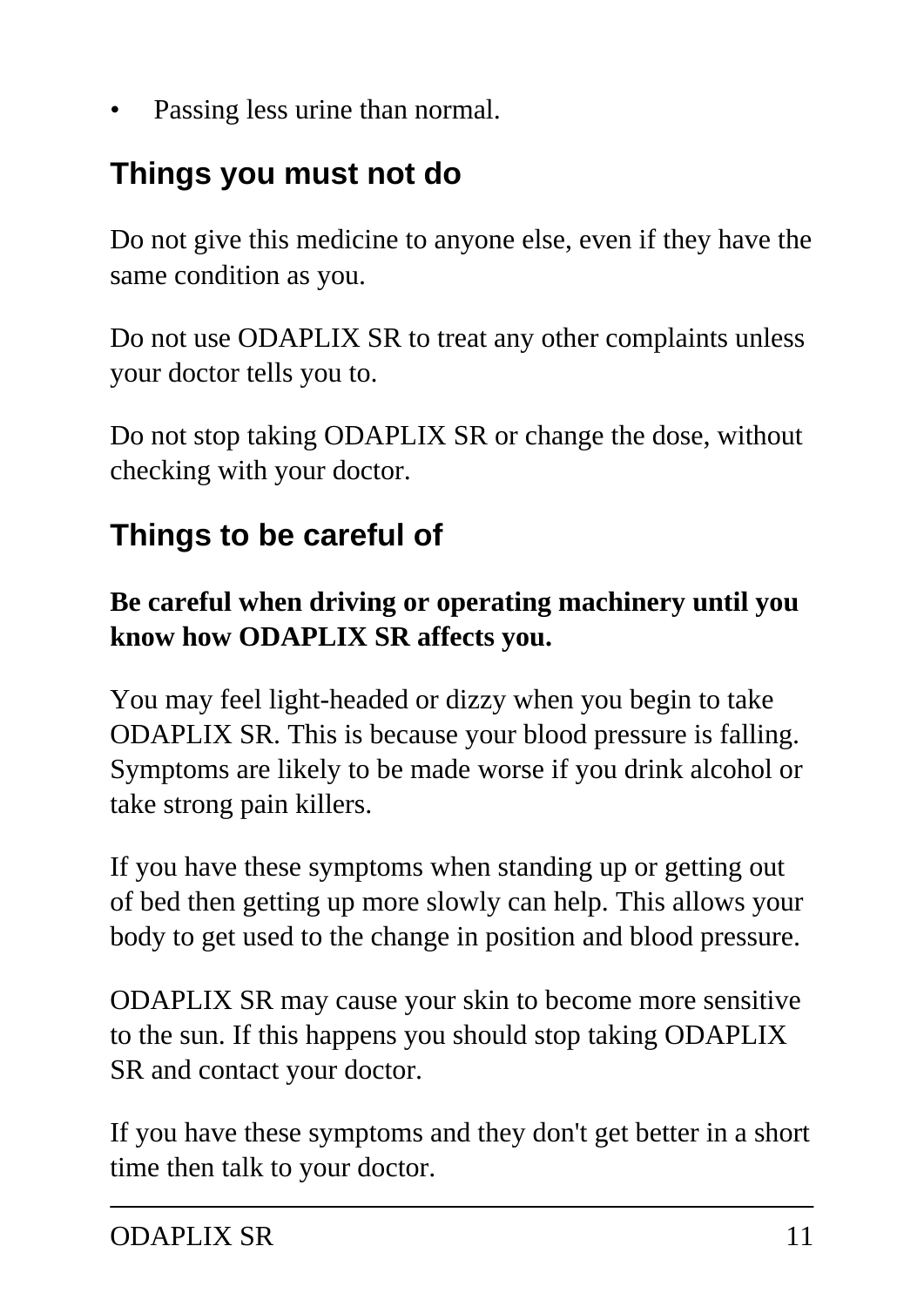Passing less urine than normal.

### **Things you must not do**

Do not give this medicine to anyone else, even if they have the same condition as you.

Do not use ODAPLIX SR to treat any other complaints unless your doctor tells you to.

Do not stop taking ODAPLIX SR or change the dose, without checking with your doctor.

## **Things to be careful of**

#### **Be careful when driving or operating machinery until you know how ODAPLIX SR affects you.**

You may feel light-headed or dizzy when you begin to take ODAPLIX SR. This is because your blood pressure is falling. Symptoms are likely to be made worse if you drink alcohol or take strong pain killers.

If you have these symptoms when standing up or getting out of bed then getting up more slowly can help. This allows your body to get used to the change in position and blood pressure.

ODAPLIX SR may cause your skin to become more sensitive to the sun. If this happens you should stop taking ODAPLIX SR and contact your doctor.

If you have these symptoms and they don't get better in a short time then talk to your doctor.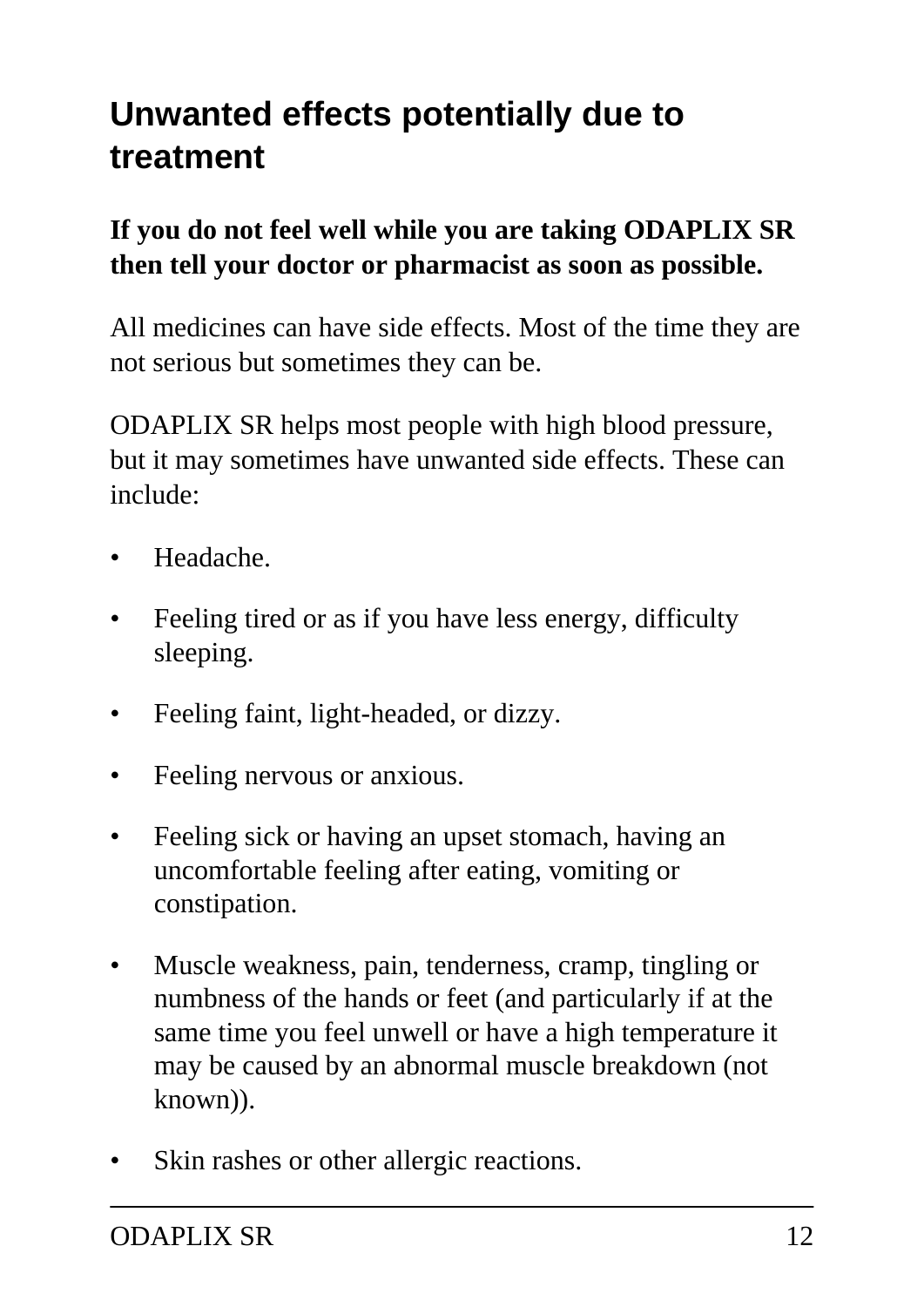# **Unwanted effects potentially due to treatment**

#### **If you do not feel well while you are taking ODAPLIX SR then tell your doctor or pharmacist as soon as possible.**

All medicines can have side effects. Most of the time they are not serious but sometimes they can be.

ODAPLIX SR helps most people with high blood pressure, but it may sometimes have unwanted side effects. These can include:

- Headache.
- Feeling tired or as if you have less energy, difficulty sleeping.
- Feeling faint, light-headed, or dizzy.
- Feeling nervous or anxious.
- Feeling sick or having an upset stomach, having an uncomfortable feeling after eating, vomiting or constipation.
- Muscle weakness, pain, tenderness, cramp, tingling or numbness of the hands or feet (and particularly if at the same time you feel unwell or have a high temperature it may be caused by an abnormal muscle breakdown (not known)).
- Skin rashes or other allergic reactions.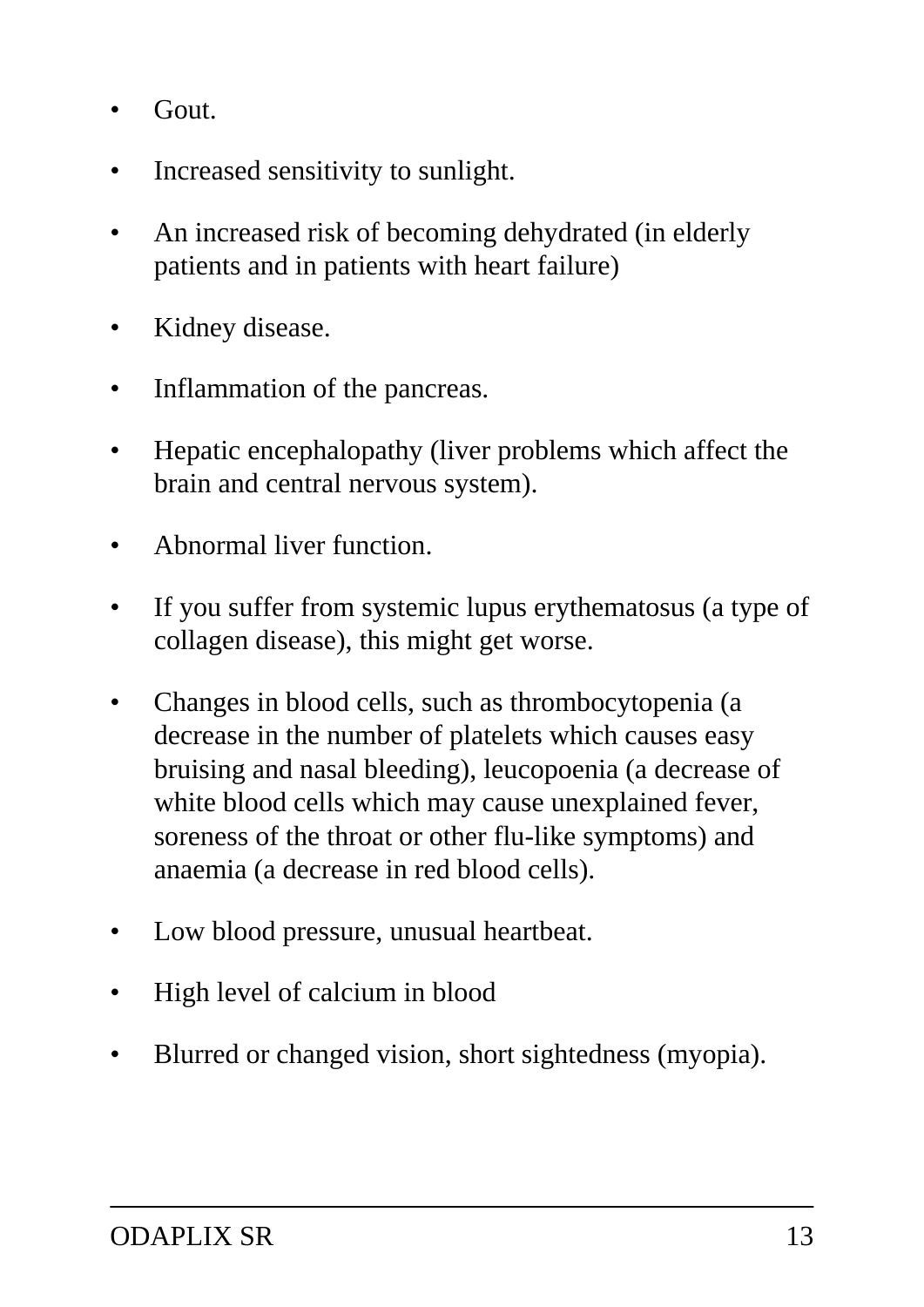- Gout.
- Increased sensitivity to sunlight.
- An increased risk of becoming dehydrated (in elderly patients and in patients with heart failure)
- Kidney disease.
- Inflammation of the pancreas.
- Hepatic encephalopathy (liver problems which affect the brain and central nervous system).
- Abnormal liver function.
- If you suffer from systemic lupus erythematosus (a type of collagen disease), this might get worse.
- Changes in blood cells, such as thrombocytopenia (a decrease in the number of platelets which causes easy bruising and nasal bleeding), leucopoenia (a decrease of white blood cells which may cause unexplained fever, soreness of the throat or other flu-like symptoms) and anaemia (a decrease in red blood cells).
- Low blood pressure, unusual heartbeat.
- High level of calcium in blood
- Blurred or changed vision, short sightedness (myopia).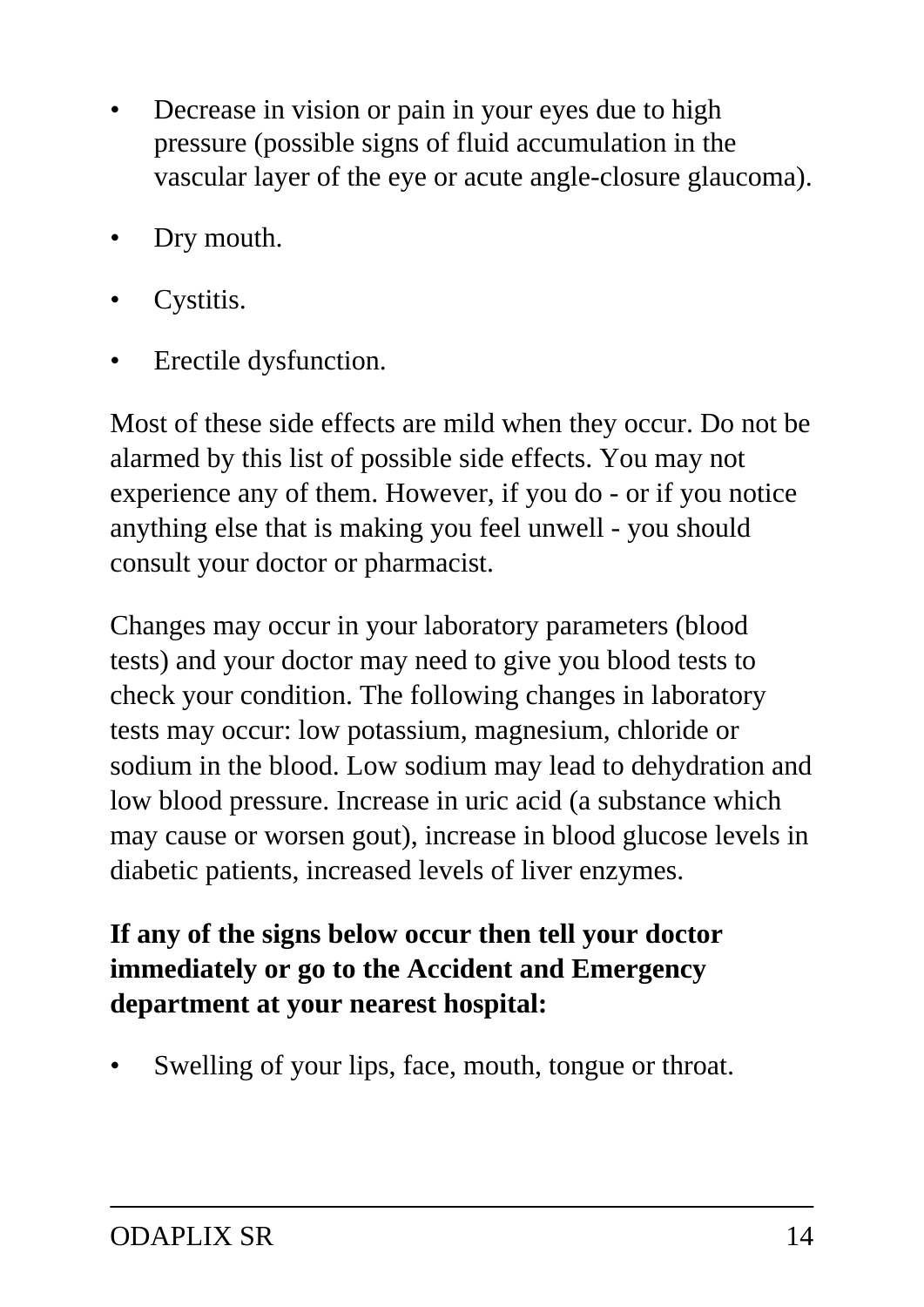- Decrease in vision or pain in your eyes due to high pressure (possible signs of fluid accumulation in the vascular layer of the eye or acute angle-closure glaucoma).
- Dry mouth.
- Cystitis.
- Erectile dysfunction.

Most of these side effects are mild when they occur. Do not be alarmed by this list of possible side effects. You may not experience any of them. However, if you do - or if you notice anything else that is making you feel unwell - you should consult your doctor or pharmacist.

Changes may occur in your laboratory parameters (blood tests) and your doctor may need to give you blood tests to check your condition. The following changes in laboratory tests may occur: low potassium, magnesium, chloride or sodium in the blood. Low sodium may lead to dehydration and low blood pressure. Increase in uric acid (a substance which may cause or worsen gout), increase in blood glucose levels in diabetic patients, increased levels of liver enzymes.

#### **If any of the signs below occur then tell your doctor immediately or go to the Accident and Emergency department at your nearest hospital:**

Swelling of your lips, face, mouth, tongue or throat.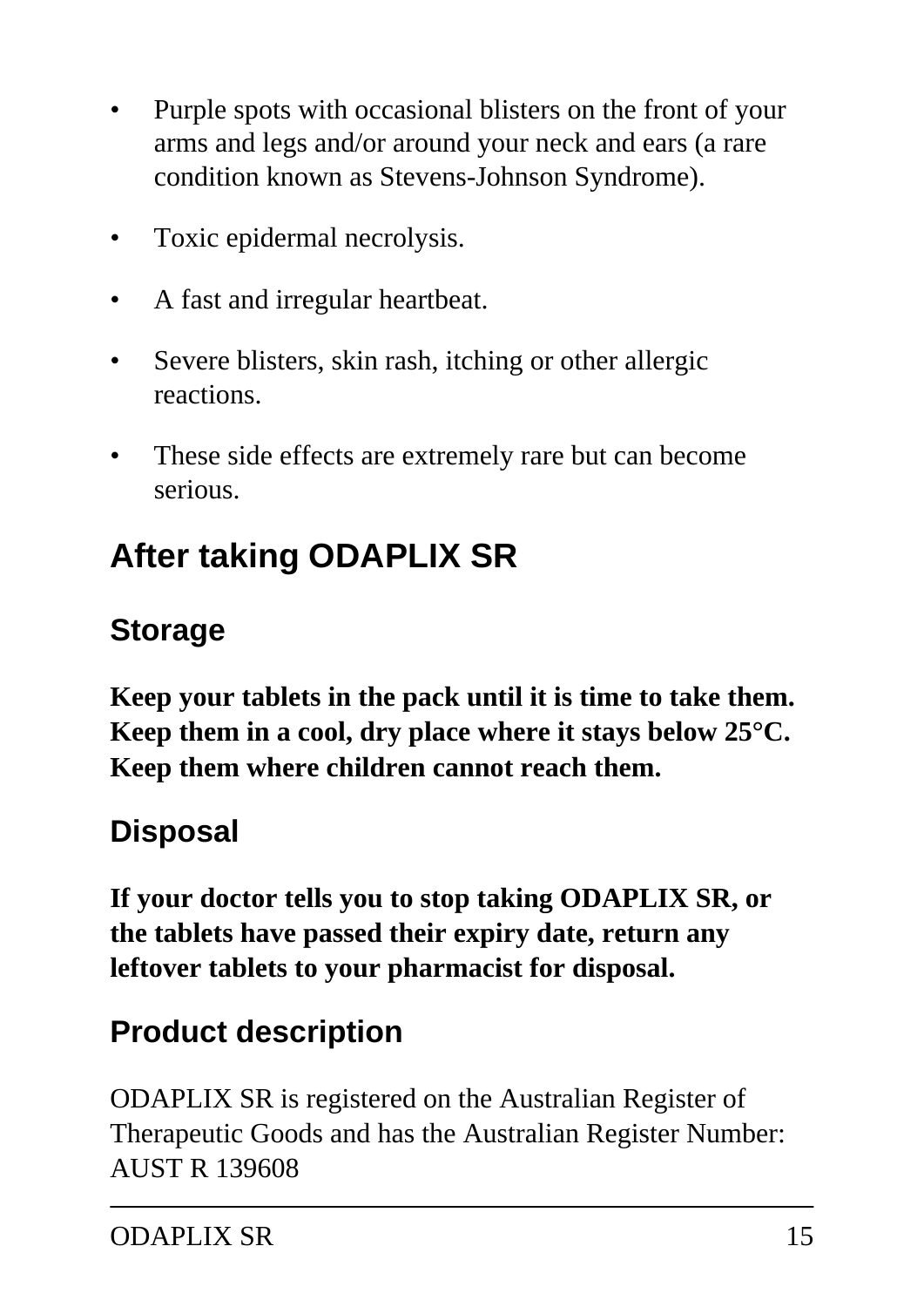- Purple spots with occasional blisters on the front of your arms and legs and/or around your neck and ears (a rare condition known as Stevens-Johnson Syndrome).
- Toxic epidermal necrolysis.
- A fast and irregular heartbeat.
- Severe blisters, skin rash, itching or other allergic reactions.
- These side effects are extremely rare but can become serious.

# **After taking ODAPLIX SR**

### **Storage**

**Keep your tablets in the pack until it is time to take them. Keep them in a cool, dry place where it stays below 25°C. Keep them where children cannot reach them.**

### **Disposal**

**If your doctor tells you to stop taking ODAPLIX SR, or the tablets have passed their expiry date, return any leftover tablets to your pharmacist for disposal.**

### **Product description**

ODAPLIX SR is registered on the Australian Register of Therapeutic Goods and has the Australian Register Number: AUST R 139608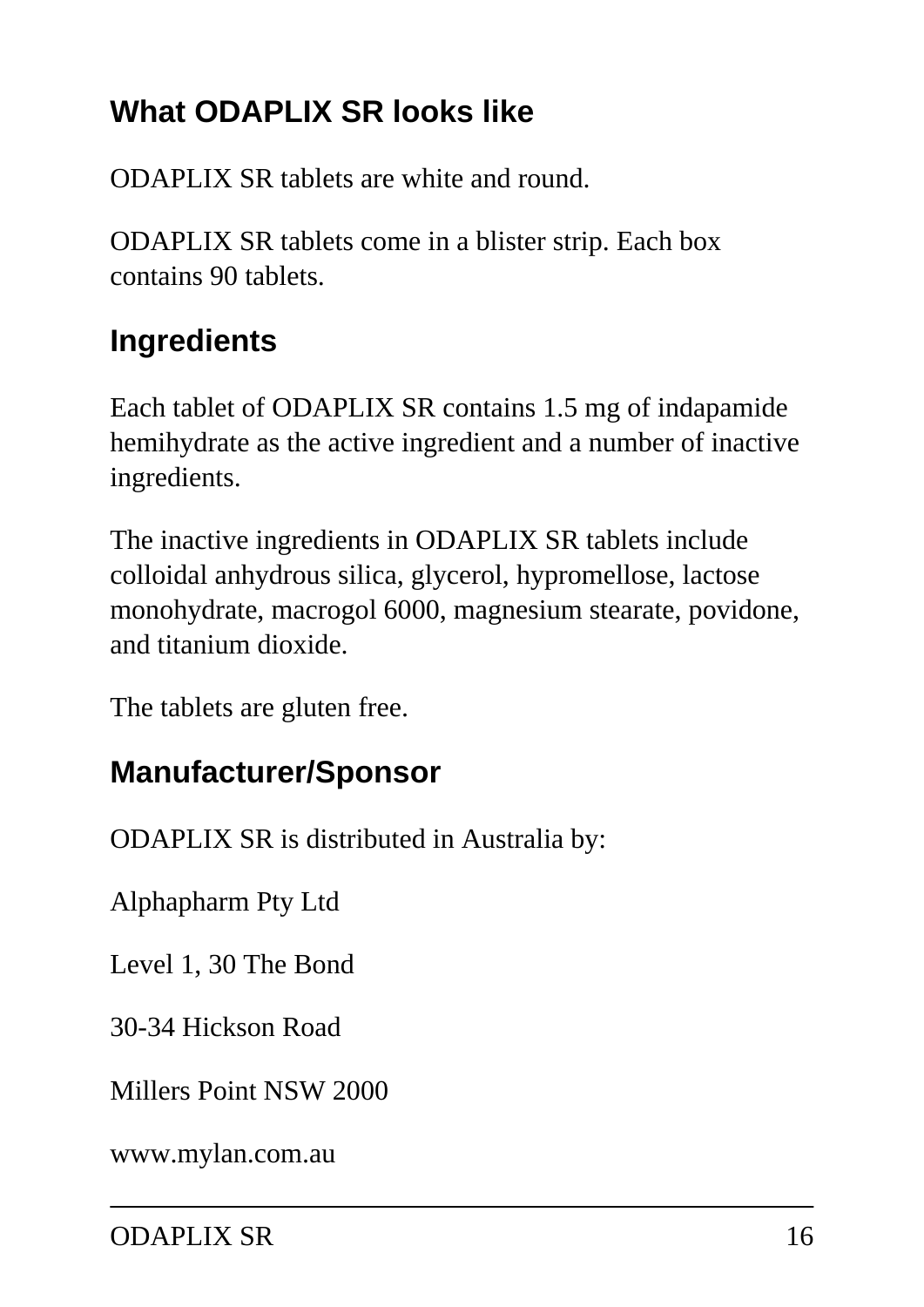## **What ODAPLIX SR looks like**

ODAPLIX SR tablets are white and round.

ODAPLIX SR tablets come in a blister strip. Each box contains 90 tablets.

## **Ingredients**

Each tablet of ODAPLIX SR contains 1.5 mg of indapamide hemihydrate as the active ingredient and a number of inactive ingredients.

The inactive ingredients in ODAPLIX SR tablets include colloidal anhydrous silica, glycerol, hypromellose, lactose monohydrate, macrogol 6000, magnesium stearate, povidone, and titanium dioxide.

The tablets are gluten free.

### **Manufacturer/Sponsor**

ODAPLIX SR is distributed in Australia by:

Alphapharm Pty Ltd

Level 1, 30 The Bond

30-34 Hickson Road

Millers Point NSW 2000

[www.mylan.com.au](http://www.mylan.com.au)